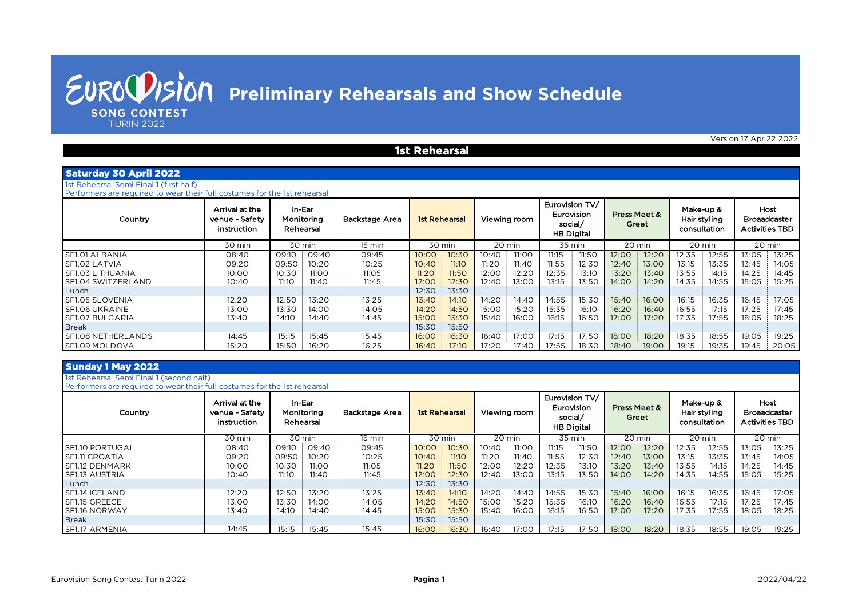**SONG CONTEST TURIN 2022** 

Version 17 Apr 22 2022

#### **1st Rehearsal**

| <b>Saturday 30 April 2022</b> |  |
|-------------------------------|--|
|                               |  |

| 1st Rehearsal Semi Final 1 (first half) |  |  |
|-----------------------------------------|--|--|

Performers are required to wear their full costumes for the 1st rehearsal

| Country                   | Arrival at the<br>venue - Safety<br>instruction | In-Ear<br>Monitoring<br>Rehearsal | Backstage Area | <b>1st Rehearsal</b> | Viewing room   | Eurovision TV/<br>Eurovision<br>social/<br><b>HB Digital</b> | Press Meet &<br>Greet | Make-up &<br>Hair styling<br>consultation | Host<br>Broaadcaster<br><b>Activities TBD</b> |
|---------------------------|-------------------------------------------------|-----------------------------------|----------------|----------------------|----------------|--------------------------------------------------------------|-----------------------|-------------------------------------------|-----------------------------------------------|
|                           | 30 min                                          | 30 min                            | 15 min         | 30 min               | 20 min         | 35 min                                                       | 20 min                | 20 min                                    | 20 min                                        |
| <b>SF1.01 ALBANIA</b>     | 08:40                                           | 09:40<br>09:10                    | 09:45          | 10:00<br>10:30       | 11:00<br>10:40 | 11:15<br>11:50                                               | 12:20<br>12:00        | 12:35<br>12:55                            | 13:05<br>13:25                                |
| <b>SF1.02 LATVIA</b>      | 09:20                                           | 09:50<br>10:20                    | 10:25          | 11:10<br>10:40       | 11:40<br>11:20 | 11:55<br>12:30                                               | 13:00<br>12:40        | 13:15<br>13:35                            | 13:45<br>14:05                                |
| <b>SF1.03 LITHUANIA</b>   | 10:00                                           | 10:30<br>11:00                    | 11:05          | 11:50<br>11:20       | 12:00<br>12:20 | 12:35<br>13:10                                               | 13:20<br>13:40        | 13:55<br>14:15                            | 14:25<br>14:45                                |
| SF1.04 SWITZERLAND        | 10:40                                           | 11:10<br>11:40                    | 11:45          | 12:30<br>12:00       | 13:00<br>12:40 | 13:15<br>13:50                                               | 14:00<br>14:20        | 14:35<br>14:55                            | 15:05<br>15:25                                |
| Lunch                     |                                                 |                                   |                | 13:30<br>12:30       |                |                                                              |                       |                                           |                                               |
| <b>SF1.05 SLOVENIA</b>    | 12:20                                           | 12:50<br>13:20                    | 13:25          | 14:10<br>13:40       | 14:20<br>14:40 | 14:55<br>15:30                                               | 15:40<br>16:00        | 16:15<br>16:35                            | 16:45<br>17:05                                |
| <b>SF1.06 UKRAINE</b>     | 13:00                                           | 13:30<br>14:00                    | 14:05          | 14:50<br>14:20       | 15:20<br>15:00 | 15:35<br>16:10                                               | 16:20<br>16:40        | 16:55<br>17:15                            | 17:25<br>17:45                                |
| <b>SF1.07 BULGARIA</b>    | 13:40                                           | 14:10<br>14:40                    | 14:45          | 15:30<br>15:00       | 15:40<br>16:00 | 16:15<br>16:50                                               | 17:00<br>17:20        | 17:35<br>17:55                            | 18:05<br>18:25                                |
| <b>Break</b>              |                                                 |                                   |                | 15:50<br>15:30       |                |                                                              |                       |                                           |                                               |
| <b>SF1.08 NETHERLANDS</b> | 14:45                                           | 15:15<br>15:45                    | 15:45          | 16:30<br>16:00       | 17:00<br>16:40 | 17:15<br>17:50                                               | 18:00<br>18:20        | 18:35<br>18:55                            | 19:05<br>19:25                                |
| <b>SF1.09 MOLDOVA</b>     | 15:20                                           | 15:50<br>16:20                    | 16:25          | 16:40<br>17:10       | 17:20<br>17:40 | 17:55<br>18:30                                               | 19:00<br>18:40        | 19:15<br>19:35                            | 19:45<br>20:05                                |

#### **Sunday 1 May 2022**

1st Rehearsal Semi Final 1 (second half)

Performers are required to wear their full costumes for the 1st rehearsal

| Country                | Arrival at the<br>venue - Safety<br>instruction | In-Ear<br>Monitoring<br>Rehearsal | Backstage Area | <b>1st Rehearsal</b> |        |       | Viewing room | Eurovision TV/<br>social/ | Eurovision<br><b>HB Digital</b> |       | Press Meet &<br>Greet |       | Make-up &<br>Hair styling<br>consultation |       | Host<br><b>Broaadcaster</b><br><b>Activities TBD</b> |
|------------------------|-------------------------------------------------|-----------------------------------|----------------|----------------------|--------|-------|--------------|---------------------------|---------------------------------|-------|-----------------------|-------|-------------------------------------------|-------|------------------------------------------------------|
|                        | 30 min                                          | 30 min                            | 15 min         |                      | 30 min |       | 20 min       |                           | 35 min                          |       | 20 min                |       | 20 min                                    |       | 20 min                                               |
| <b>SF1.10 PORTUGAL</b> | 08:40                                           | 09:40<br>09:10                    | 09:45          | 10:00                | 10:30  | 10:40 | 11:00        | 11:15                     | 11:50                           | 12:00 | 12:20                 | 12:35 | 12:55                                     | 13:05 | 13:25                                                |
| <b>SF1.11 CROATIA</b>  | 09:20                                           | 09:50<br>10:20                    | 10:25          | 10:40                | 11:10  | 11:20 | 11:40        | 11:55                     | 12:30                           | 12:40 | 13:00                 | 13:15 | 13:35                                     | 13:45 | 14:05                                                |
| <b>SF1.12 DENMARK</b>  | 10:00                                           | 10:30<br>11:00                    | 11:05          | 11:20                | 11:50  | 12:00 | 12:20        | 12:35                     | 13:10                           | 13:20 | 13:40                 | 13:55 | 14:15                                     | 14:25 | 14:45                                                |
| <b>SF1.13 AUSTRIA</b>  | 10:40                                           | 11:10<br>11:40                    | 11:45          | 12:00                | 12:30  | 12:40 | 13:00        | 13:15                     | 13:50                           | 14:00 | 14:20                 | 14:35 | 14:55                                     | 15:05 | 15:25                                                |
| Lunch                  |                                                 |                                   |                | 12:30                | 13:30  |       |              |                           |                                 |       |                       |       |                                           |       |                                                      |
| <b>SF1.14 ICELAND</b>  | 12:20                                           | 12:50<br>13:20                    | 13:25          | 13:40                | 14:10  | 14:20 | 14:40        | 14:55                     | 15:30                           | 15:40 | 16:00                 | 16:15 | 16:35                                     | 16:45 | 17:05                                                |
| <b>SF1.15 GREECE</b>   | 13:00                                           | 13:30<br>14:00                    | 14:05          | 14:20                | 14:50  | 15:00 | 15:20        | 15:35                     | 16:10                           | 16:20 | 16:40                 | 16:55 | 17:15                                     | 17:25 | 17:45                                                |
| <b>SF1.16 NORWAY</b>   | 13:40                                           | 14:10<br>14:40                    | 14:45          | 15:00                | 15:30  | 15:40 | 16:00        | 16:15                     | 16:50                           | 17:00 | 17:20                 | 17:35 | 17:55                                     | 18:05 | 18:25                                                |
| <b>Break</b>           |                                                 |                                   |                | 15:30                | 15:50  |       |              |                           |                                 |       |                       |       |                                           |       |                                                      |
| <b>SF1.17 ARMENIA</b>  | 14:45                                           | 15:15<br>15:45                    | 15:45          | 16:00                | 16:30  | 16:40 | 17:00        | 17:15                     | 17:50                           | 18:00 | 18:20                 | 18:35 | 18:55                                     | 19:05 | 19:25                                                |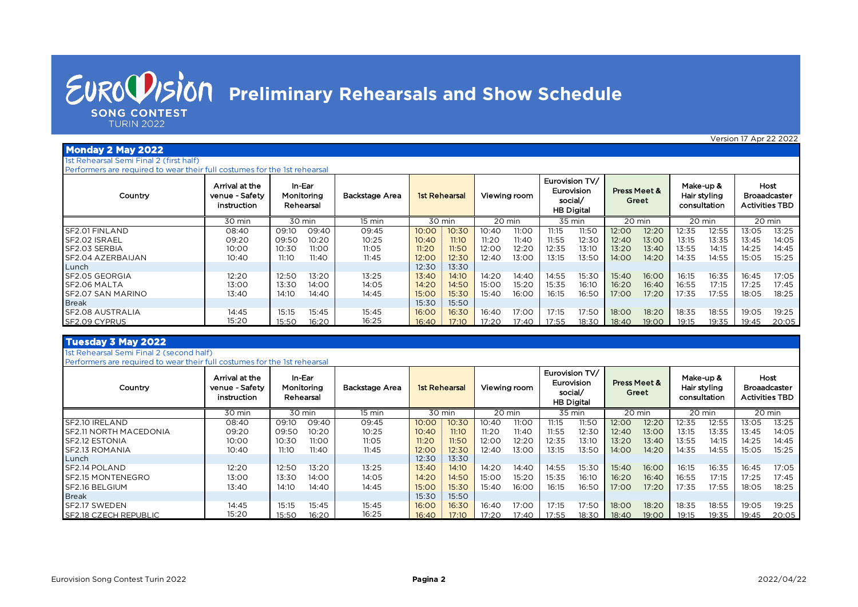**SONG CONTEST** 

**TURIN 2022** 

Version 17 Apr 22 2022

#### **Monday 2 May 2022**

1st Rehearsal Semi Final 2 (first half) Performers are required to wear their full costumes for the 1st rehearsal

| Country                  | Arrival at the<br>venue - Safety<br>instruction | Rehearsal | In-Ear<br>Monitorina | Backstage Area | <b>1st Rehearsal</b> |        |       | Viewing room | social/ | Eurovision TV/<br>Eurovision<br><b>HB Digital</b> | Press Meet & | Greet  | Make-up & | Hair styling<br>consultation | <b>Activities TBD</b> | <b>Host</b><br><b>Broaadcaster</b> |
|--------------------------|-------------------------------------------------|-----------|----------------------|----------------|----------------------|--------|-------|--------------|---------|---------------------------------------------------|--------------|--------|-----------|------------------------------|-----------------------|------------------------------------|
|                          | 30 min                                          |           | 30 min               | 15 min         |                      | 30 min |       | 20 min       |         | 35 min                                            |              | 20 min |           | 20 min                       |                       | 20 min                             |
| SF2.01 FINLAND           | 08:40                                           | 09:10     | 09:40                | 09:45          | 10:00                | 10:30  | 10:40 | 11:00        | 11:15   | 11:50                                             | 12:00        | 12:20  | 12:35     | 12:55                        | 13:05                 | 13:25                              |
| SF2.02 ISRAEL            | 09:20                                           | 09:50     | 10:20                | 10:25          | 10:40                | 11:10  | 11:20 | 11:40        | 11:55   | 12:30                                             | 12:40        | 13:00  | 13:15     | 13:35                        | 13:45                 | 14:05                              |
| <b>SF2.03 SERBIA</b>     | 10:00                                           | 10:30     | 11:00                | 11:05          | 11:20                | 11:50  | 12:00 | 12:20        | 12:35   | 13:10                                             | 13:20        | 13:40  | 13:55     | 14:15                        | 14:25                 | 14:45                              |
| SF2.04 AZERBAIJAN        | 10:40                                           | 11:10     | 11:40                | 11:45          | 12:00                | 12:30  | 12:40 | 13:00        | 13:15   | 13:50                                             | 14:00        | 14:20  | 14:35     | 14:55                        | 15:05                 | 15:25                              |
| Lunch                    |                                                 |           |                      |                | 12:30                | 13:30  |       |              |         |                                                   |              |        |           |                              |                       |                                    |
| SF2.05 GEORGIA           | 12:20                                           | 12:50     | 13:20                | 13:25          | 13:40                | 14:10  | 14:20 | 14:40        | 14:55   | 15:30                                             | 15:40        | 16:00  | 16:15     | 16:35                        | 16:45                 | 17:05                              |
| SF2.06 MALTA             | 13:00                                           | 13:30     | 14:00                | 14:05          | 14:20                | 14:50  | 15:00 | 15:20        | 15:35   | 16:10                                             | 16:20        | 16:40  | 16:55     | 17:15                        | 17:25                 | 17:45                              |
| <b>SF2.07 SAN MARINO</b> | 13:40                                           | 14:10     | 14:40                | 14:45          | 15:00                | 15:30  | 15:40 | 16:00        | 16:15   | 16:50                                             | 17:00        | 17:20  | 17:35     | 17:55                        | 18:05                 | 18:25                              |
| <b>Break</b>             |                                                 |           |                      |                | 15:30                | 15:50  |       |              |         |                                                   |              |        |           |                              |                       |                                    |
| SF2.08 AUSTRALIA         | 14:45                                           | 15:15     | 15:45                | 15:45          | 16:00                | 16:30  | 16:40 | 17:00        | 17:15   | 17:50                                             | 18:00        | 18:20  | 18:35     | 18:55                        | 19:05                 | 19:25                              |
| <b>SF2.09 CYPRUS</b>     | 15:20                                           | 15:50     | 16:20                | 16:25          | 16:40                | 17:10  | 17:20 | 17:40        | 17:55   | 18:30                                             | 18:40        | 19:00  | 19:15     | 19:35                        | 19:45                 | 20:05                              |

#### **Tuesday 3 May 2022**

1st Rehearsal Semi Final 2 (second half)

Performers are required to wear their full costumes for the 1st rehearsal

| Country                       | Arrival at the<br>venue - Safety<br>instruction |       | In-Ear<br>Monitorina<br>Rehearsal | Backstage Area | <b>1st Rehearsal</b> |        |       | Viewing room | social/ | Eurovision TV/<br>Eurovision<br><b>HB Digital</b> |       | Press Meet &<br>Greet | consultation | Make-up &<br>Hair styling |       | Host<br><b>Broaadcaster</b><br><b>Activities TBD</b> |
|-------------------------------|-------------------------------------------------|-------|-----------------------------------|----------------|----------------------|--------|-------|--------------|---------|---------------------------------------------------|-------|-----------------------|--------------|---------------------------|-------|------------------------------------------------------|
|                               | 30 min                                          |       | 30 min                            | 15 min         |                      | 30 min |       | 20 min       |         | 35 min                                            |       | 20 min                |              | 20 min                    |       | 20 min                                               |
| SF2.10 IRELAND                | 08:40                                           | 09:10 | 09:40                             | 09:45          | 10:00                | 10:30  | 10:40 | 11:00        | 11:15   | 11:50                                             | 12:00 | 12:20                 | 12:35        | 12:55                     | 13:05 | 13:25                                                |
| <b>SF2.11 NORTH MACEDONIA</b> | 09:20                                           | 09:50 | 10:20                             | 10:25          | 10:40                | 11:10  | 11:20 | 11:40        | 11:55   | 12:30                                             | 12:40 | 13:00                 | 13:15        | 13:35                     | 13:45 | 14:05                                                |
| <b>SF2.12 ESTONIA</b>         | 10:00                                           | 10:30 | 11:00                             | 11:05          | 11:20                | 11:50  | 12:00 | 12:20        | 12:35   | 13:1C                                             | 13:20 | 13:40                 | 13:55        | 14:15                     | 14:25 | 14:45                                                |
| SF2.13 ROMANIA                | 10:40                                           | 11:10 | 11:40                             | 11:45          | 12:00                | 12:30  | 12:40 | 13:00        | 13:15   | 13:50                                             | 14:00 | 14:20                 | 14:35        | 14:55                     | 15:05 | 15:25                                                |
| Lunch                         |                                                 |       |                                   |                | 12:30                | 13:30  |       |              |         |                                                   |       |                       |              |                           |       |                                                      |
| SF2.14 POLAND                 | 12:20                                           | 12:50 | 13:20                             | 13:25          | 13:40                | 14:10  | 14:20 | 14:40        | 14:55   | 15:30                                             | 15:40 | 16:00                 | 16:15        | 16:35                     | 16:45 | 17:05                                                |
| <b>SF2.15 MONTENEGRO</b>      | 13:00                                           | 13:30 | 14:00                             | 14:05          | 14:20                | 14:50  | 15:00 | 15:20        | 15:35   | 16:10                                             | 16:20 | 16:40                 | 16:55        | 17:15                     | 17:25 | 17:45                                                |
| SF2.16 BELGIUM                | 13:40                                           | 14:10 | 14:40                             | 14:45          | 15:00                | 15:30  | 15:40 | 16:00        | 16:15   | 16:50                                             | 17:00 | 17:20                 | 17:35        | 17:55                     | 18:05 | 18:25                                                |
| <b>Break</b>                  |                                                 |       |                                   |                | 15:30                | 15:50  |       |              |         |                                                   |       |                       |              |                           |       |                                                      |
| SF2.17 SWEDEN                 | 14:45                                           | 15:15 | 15:45                             | 15:45          | 16:00                | 16:30  | 16:40 | 17:00        | 17:15   | 17:50                                             | 18:00 | 18:20                 | 18:35        | 18:55                     | 19:05 | 19:25                                                |
| <b>SF2.18 CZECH REPUBLIC</b>  | 15:20                                           | 15:50 | 16:20                             | 16:25          | 16:40                | 17:10  | 17:20 | 17:40        | 17:55   | 18:30                                             | 18:40 | 19:00                 | 19:15        | 19:35                     | 19:45 | 20:05                                                |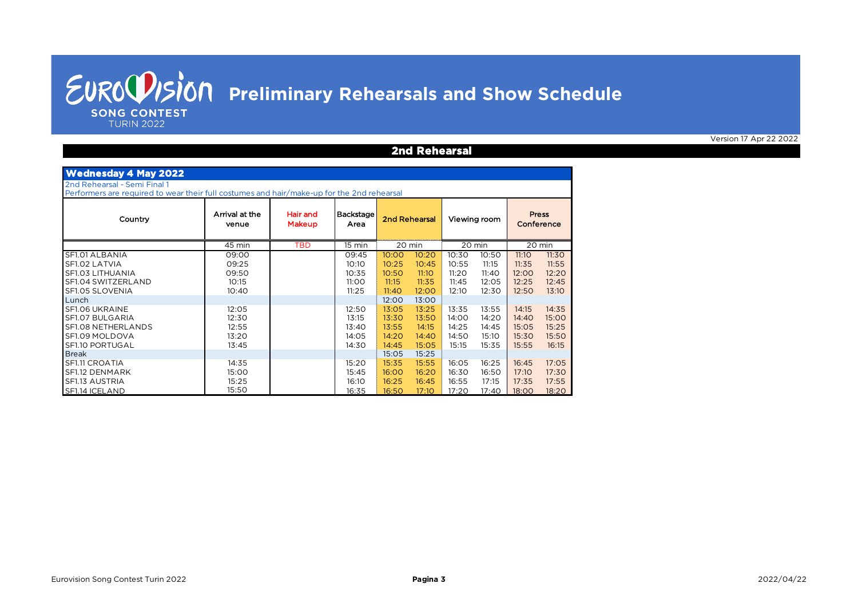**2nd Rehearsal**

**SONG CONTEST TURIN 2022** 

| <b>Wednesday 4 May 2022</b>                                                                                                                                                        |                                                                               |                           |                                                                               |                                                                                        |                                                                                        |                                                                               |                                                                               |                                                                               |                                                                               |
|------------------------------------------------------------------------------------------------------------------------------------------------------------------------------------|-------------------------------------------------------------------------------|---------------------------|-------------------------------------------------------------------------------|----------------------------------------------------------------------------------------|----------------------------------------------------------------------------------------|-------------------------------------------------------------------------------|-------------------------------------------------------------------------------|-------------------------------------------------------------------------------|-------------------------------------------------------------------------------|
| 2nd Rehearsal - Semi Final 1<br>Performers are required to wear their full costumes and hair/make-up for the 2nd rehearsal                                                         |                                                                               |                           |                                                                               |                                                                                        |                                                                                        |                                                                               |                                                                               |                                                                               |                                                                               |
| Country                                                                                                                                                                            | Arrival at the<br>venue                                                       | Hair and<br><b>Makeup</b> | <b>Backstage</b><br>Area                                                      | 2nd Rehearsal                                                                          |                                                                                        |                                                                               | Viewing room                                                                  | <b>Press</b><br>Conference                                                    |                                                                               |
|                                                                                                                                                                                    | 45 min                                                                        | <b>TBD</b>                | $15 \text{ min}$                                                              | 20 min                                                                                 |                                                                                        |                                                                               | 20 min                                                                        |                                                                               | 20 min                                                                        |
| SF1.01 ALBANIA<br>SF1.02 LATVIA<br>SF1.03 LITHUANIA<br>SF1.04 SWITZERLAND<br>SF1.05 SLOVENIA<br>Lunch<br>SF1.06 UKRAINE<br>SF1.07 BULGARIA<br>SF1.08 NETHERLANDS<br>SF1.09 MOLDOVA | 09:00<br>09:25<br>09:50<br>10:15<br>10:40<br>12:05<br>12:30<br>12:55<br>13:20 |                           | 09:45<br>10:10<br>10:35<br>11:00<br>11:25<br>12:50<br>13:15<br>13:40<br>14:05 | 10:00<br>10:25<br>10:50<br>11:15<br>11:40<br>12:00<br>13:05<br>13:30<br>13:55<br>14:20 | 10:20<br>10:45<br>11:10<br>11:35<br>12:00<br>13:00<br>13:25<br>13:50<br>14:15<br>14:40 | 10:30<br>10:55<br>11:20<br>11:45<br>12:10<br>13:35<br>14:00<br>14:25<br>14:50 | 10:50<br>11:15<br>11:40<br>12:05<br>12:30<br>13:55<br>14:20<br>14:45<br>15:10 | 11:10<br>11:35<br>12:00<br>12:25<br>12:50<br>14:15<br>14:40<br>15:05<br>15:30 | 11:30<br>11:55<br>12:20<br>12:45<br>13:10<br>14:35<br>15:00<br>15:25<br>15:50 |
| SF1.10 PORTUGAL<br><b>Break</b>                                                                                                                                                    | 13:45                                                                         |                           | 14:30                                                                         | 14:45<br>15:05                                                                         | 15:05<br>15:25                                                                         | 15:15                                                                         | 15:35                                                                         | 15:55                                                                         | 16:15                                                                         |
| SF1.11 CROATIA<br>SF1.12 DENMARK<br>SF1.13 AUSTRIA<br>SF1.14 ICELAND                                                                                                               | 14:35<br>15:00<br>15:25<br>15:50                                              |                           | 15:20<br>15:45<br>16:10<br>16:35                                              | 15:35<br>16:00<br>16:25<br>16:50                                                       | 15:55<br>16:20<br>16:45<br>17:10                                                       | 16:05<br>16:30<br>16:55<br>17:20                                              | 16:25<br>16:50<br>17:15<br>17:40                                              | 16:45<br>17:10<br>17:35<br>18:00                                              | 17:05<br>17:30<br>17:55<br>18:20                                              |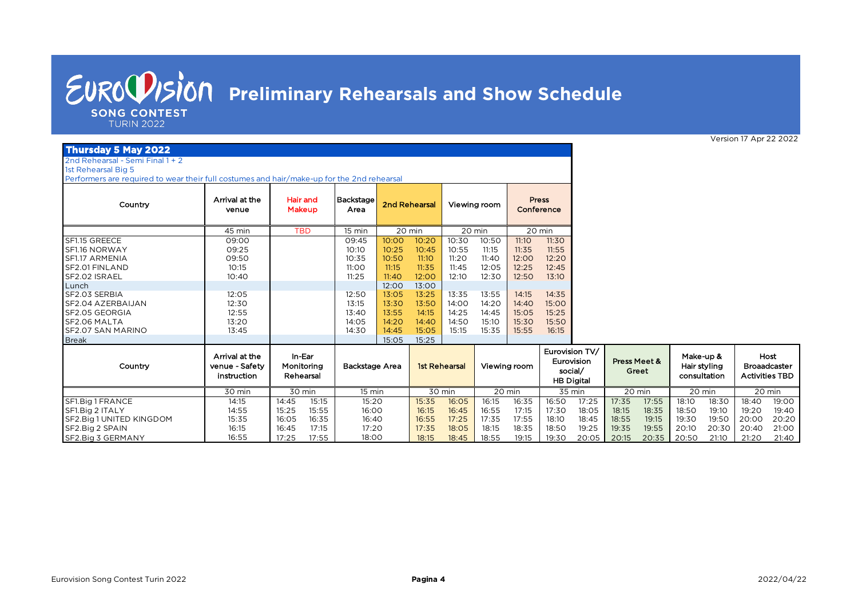**SONG CONTEST** 

**TURIN 2022** 

#### **Thursday 5 May 2022**

2nd Rehearsal - Semi Final 1 + 2

1st Rehearsal Big 5

Performers are required to wear their full costumes and hair/make-up for the 2nd rehearsal

Country **Backstage** Arrival at the **Hair and Backstage** Area 15 min SF1.15 GREECE 00:00 00:00 09:45 10:00 10:20 10:30 10:50 11:10 11:30 SF1.16 NORWAY | 09:25 | | 10:10 <mark>| 10:25 10:55</mark> 11:15 | 11:35 11:55 SF1.17 ARMENIA 00:00 00:00 10:35 10:50 11:10 11:20 11:40 12:00 12:20 SF2.01 FINLAND 00:00 00:00 11:00 11:15 11:35 11:45 12:05 12:25 12:45 SF2.02 ISRAEL 00:00 00:00 11:25 11:40 12:00 12:10 12:30 12:50 13:10 Lunch 12:00 13:00 SF2.03 SERBIA 00:00 00:00 12:50 13:05 13:25 13:35 13:55 14:15 14:35 SF2.04 AZERBAIJAN 00:00 00:00 13:15 13:30 13:50 14:00 14:20 14:40 15:00 SF2.05 GEORGIA 00:00 00:00 13:40 13:55 14:15 14:25 14:45 15:05 15:25 SF2.06 MALTA | 13:20 | | 14:05 <mark>| 14:20 14:40 |</mark> 14:50 15:10 | 15:30 15:50 SF2.07 SAN MARINO 00:00 00:00 14:30 14:45 15:05 15:15 15:35 15:55 16:15 Break 15:05 15:25 Country SF1.Big1 FRANCE | 14:15 | 14:45 15:15 | 15:20 <mark>| 15:35 16:05 |</mark> 16:15 16:30 | 17:35 17:5<mark>5 |</mark> 18:10 18:30 | 18:40 19:00 SF1.Big 2 ITALY | 14:55 | 15:25 15:55 | 16:00 <mark>| 16:15 16:45 |</mark> 16:55 17:15 | 17:30 18:05 | 18:15 18:3<mark>5 |</mark> 18:50 19:10 | 19:20 19:40 20 min 14:15 35 min Arrival at the venue - Safety instruction In-Ear Monitoring Rehearsal TBD | 15 min | 20 min | 20 min Viewing room 15:20 14:55 15:25 15:55 16:00 Viewing room Eurovision TV/ Eurovision social/ **HB Digital** Press **Conference** Backstage Area 1 1st Rehearsal 30 min 15 min 30 min 20 min Hair and Makeup 30 min 20 min 2nd Rehearsal 45 min Arrival at the venue 09:00  $13:20$ 13:45 12:55  $12.30$ 12:05 10:40 10:15 09:50 09:25

16:15 16:45 17:15

 $16:05$ 

16:55

Version 17 Apr 22 2022

Host **Broaadcaster** Activities TBD

20 min 20 min 20 min

Make-up & Hair styling consultation

Press Meet & Greet

SF2.Big 1 UNITED KINGDOM | 15:35 | 16:05 16:35 | 16:40 | 16:55 17:25 | 17:35 17:35 18:10 18:45 | 18:55 19:15 | 19:30 19:50 | 20:00 20:20<br>SF2.Big 2 SPAIN | 16:15 | 16:45 17:15 | 17:20 | 17:35 18:05 18:15 18:35 | 18:50 19:25 SF2.Big 2 SPAIN | 16:15 | 16:45 17:15 | 17:20 <mark>| 17:35 18:05 |</mark> 18:15 18:50 19:25 | 19:35 19:5<mark>5 |</mark> 20:10 20:30 | 20:40 21:00 SF2.Big 3 GERMANY | 16:55 | 17:25 17:55 | 18:00 <mark>| 18:15 18:45 |</mark> 18:55 19:15 | 19:30 20:05 | 20:15 20:35 | 20:50 21:10 | 21:20 21:40

18:00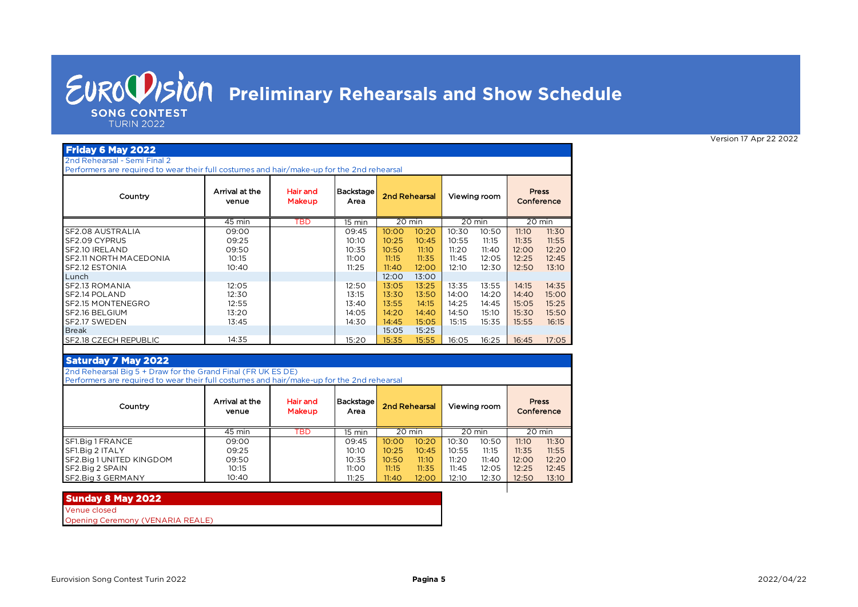**SONG CONTEST** 

**TURIN 2022** 

#### **Friday 6 May 2022** 2nd Rehearsal - Semi Final 2

Performers are required to wear their full costumes and hair/make-up for the 2nd rehearsal

| Country                | Arrival at the<br>venue | Hair and<br>Makeup | Backstage<br>Area |        | 2nd Rehearsal |       | Viewing room |        | <b>Press</b><br>Conference |
|------------------------|-------------------------|--------------------|-------------------|--------|---------------|-------|--------------|--------|----------------------------|
|                        | 45 min                  | TBD                | 15 min            | 20 min |               |       | 20 min       | 20 min |                            |
| SF2.08 AUSTRALIA       | 09:00                   |                    | 09:45             | 10:00  | 10:20         | 10:30 | 10:50        | 11:10  | 11:30                      |
| SF2.09 CYPRUS          | 09:25                   |                    | 10:10             | 10:25  | 10:45         | 10:55 | 11:15        | 11:35  | 11:55                      |
| SF2.10 IRELAND         | 09:50                   |                    | 10:35             | 10:50  | 11:10         | 11:20 | 11:40        | 12:00  | 12:20                      |
| SF2.11 NORTH MACEDONIA | 10:15                   |                    | 11:00             | 11:15  | 11:35         | 11:45 | 12:05        | 12:25  | 12:45                      |
| SF2.12 ESTONIA         | 10:40                   |                    | 11:25             | 11:40  | 12:00         | 12:10 | 12:30        | 12:50  | 13:10                      |
| Lunch                  |                         |                    |                   | 12:00  | 13:00         |       |              |        |                            |
| SF2.13 ROMANIA         | 12:05                   |                    | 12:50             | 13:05  | 13:25         | 13:35 | 13:55        | 14:15  | 14:35                      |
| SF2.14 POLAND          | 12:30                   |                    | 13:15             | 13:30  | 13:50         | 14:00 | 14:20        | 14:40  | 15:00                      |
| SF2.15 MONTENEGRO      | 12:55                   |                    | 13:40             | 13:55  | 14:15         | 14:25 | 14:45        | 15:05  | 15:25                      |
| SF2.16 BELGIUM         | 13:20                   |                    | 14:05             | 14:20  | 14:40         | 14:50 | 15:10        | 15:30  | 15:50                      |
| SF2.17 SWEDEN          | 13:45                   |                    | 14:30             | 14:45  | 15:05         | 15:15 | 15:35        | 15:55  | 16:15                      |
| <b>Break</b>           |                         |                    |                   | 15:05  | 15:25         |       |              |        |                            |
| SF2.18 CZECH REPUBLIC  | 14:35                   |                    | 15:20             | 15:35  | 15:55         | 16:05 | 16:25        | 16:45  | 17:05                      |

#### **Saturday 7 May 2022**

2nd Rehearsal Big 5 + Draw for the Grand Final (FR UK ES DE)

Performers are required to wear their full costumes and hair/make-up for the 2nd rehearsal

| Country                  | Arrival at the<br>venue | Hair and<br><b>Makeup</b> | Backstage<br>Area |        | 2nd Rehearsal |       | Viewing room | <b>Press</b><br>Conference |        |
|--------------------------|-------------------------|---------------------------|-------------------|--------|---------------|-------|--------------|----------------------------|--------|
|                          | 45 min                  | TBD                       | 15 min            | 20 min |               |       | 20 min       |                            | 20 min |
| SF1.Big 1 FRANCE         | 09:00                   |                           | 09:45             | 10:00  | 10:20         | 10:30 | 10:50        | 11:10                      | 11:30  |
| SF1.Big 2 ITALY          | 09:25                   |                           | 10:10             | 10:25  | 10:45         | 10:55 | 11:15        | 11:35                      | 11:55  |
| SF2.Big 1 UNITED KINGDOM | 09:50                   |                           | 10:35             | 10:50  | 11:10         | 11:20 | 11:40        | 12:00                      | 12:20  |
| SF2.Big 2 SPAIN          | 10:15                   |                           | 11:00             | 11:15  | 11:35         | 11:45 | 12:05        | 12:25                      | 12:45  |
| SF2.Big 3 GERMANY        | 10:40                   |                           | 11:25             | 11:40  | 12:00         | 12:10 | 12:30        | 12:50                      | 13:10  |

#### **Sunday 8 May 2022**

Venue closed

Opening Ceremony (VENARIA REALE)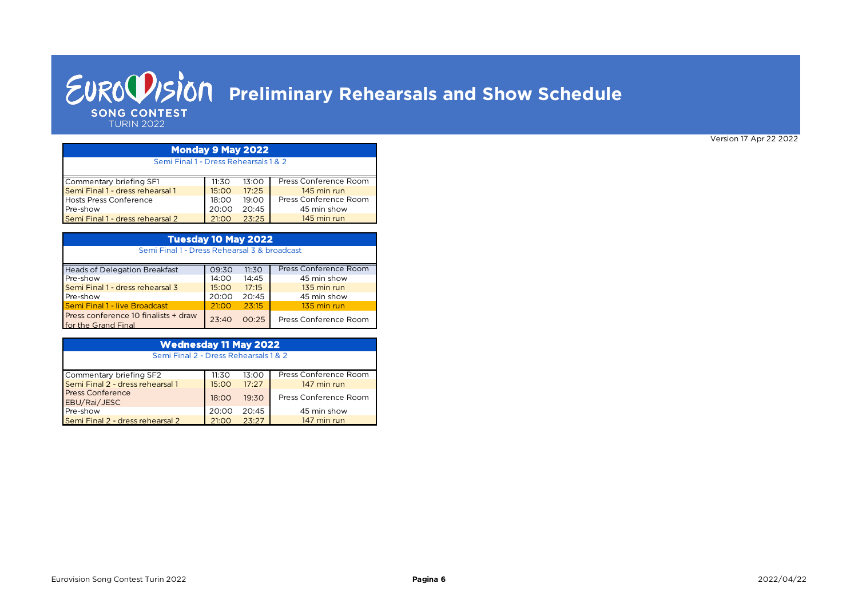### *EUROUISION* Preliminary Rehearsals and Show Schedule **SONG CONTEST TURIN 2022**

Commentary briefing SF1 11:30 13:00<br>
Semi Final 1 - dress rehearsal 1 15:00 17:25 Semi Final 1 - dress rehearsal 1 Hosts Press Conference<br>Pre-show 20:00 20:45 Pre-show 20:00 20:45<br> **Pre-show 20:45** 20:00 20:45 Semi Final 1 - dress rehearsal 2 Semi Final 1 - Dress Rehearsals 1 & 2 145 min run 45 min show 145 min run Press Conference Room **Monday 9 May 2022** Press Conference Room

| Tuesday 10 May 2022                                         |       |       |                       |  |  |  |  |  |
|-------------------------------------------------------------|-------|-------|-----------------------|--|--|--|--|--|
| Semi Final 1 - Dress Rehearsal 3 & broadcast                |       |       |                       |  |  |  |  |  |
| <b>Heads of Delegation Breakfast</b>                        | 09:30 | 11:30 | Press Conference Room |  |  |  |  |  |
| Pre-show                                                    | 14:00 | 14:45 | 45 min show           |  |  |  |  |  |
| Semi Final 1 - dress rehearsal 3                            | 15:00 | 17:15 | 135 min run           |  |  |  |  |  |
| Pre-show                                                    | 20:00 | 20:45 | 45 min show           |  |  |  |  |  |
| <b>Semi Final 1 - live Broadcast</b>                        | 21:00 | 23:15 | 135 min run           |  |  |  |  |  |
| Press conference 10 finalists + draw<br>for the Grand Final | 23:40 | 00:25 | Press Conference Room |  |  |  |  |  |

| <b>Wednesday 11 May 2022</b>     |                                       |       |                       |  |  |  |  |  |  |
|----------------------------------|---------------------------------------|-------|-----------------------|--|--|--|--|--|--|
|                                  | Semi Final 2 - Dress Rehearsals 1 & 2 |       |                       |  |  |  |  |  |  |
|                                  |                                       |       |                       |  |  |  |  |  |  |
| Commentary briefing SF2          | 11:30                                 | 13:00 | Press Conference Room |  |  |  |  |  |  |
| Semi Final 2 - dress rehearsal 1 | 15:00                                 | 17:27 | 147 min run           |  |  |  |  |  |  |
| <b>Press Conference</b>          | 18:00                                 | 19:30 | Press Conference Room |  |  |  |  |  |  |
| EBU/Rai/JESC                     |                                       |       |                       |  |  |  |  |  |  |
| Pre-show                         | 20:00                                 | 20:45 | 45 min show           |  |  |  |  |  |  |
| Semi Final 2 - dress rehearsal 2 | 21:00                                 | 23:27 | 147 min run           |  |  |  |  |  |  |